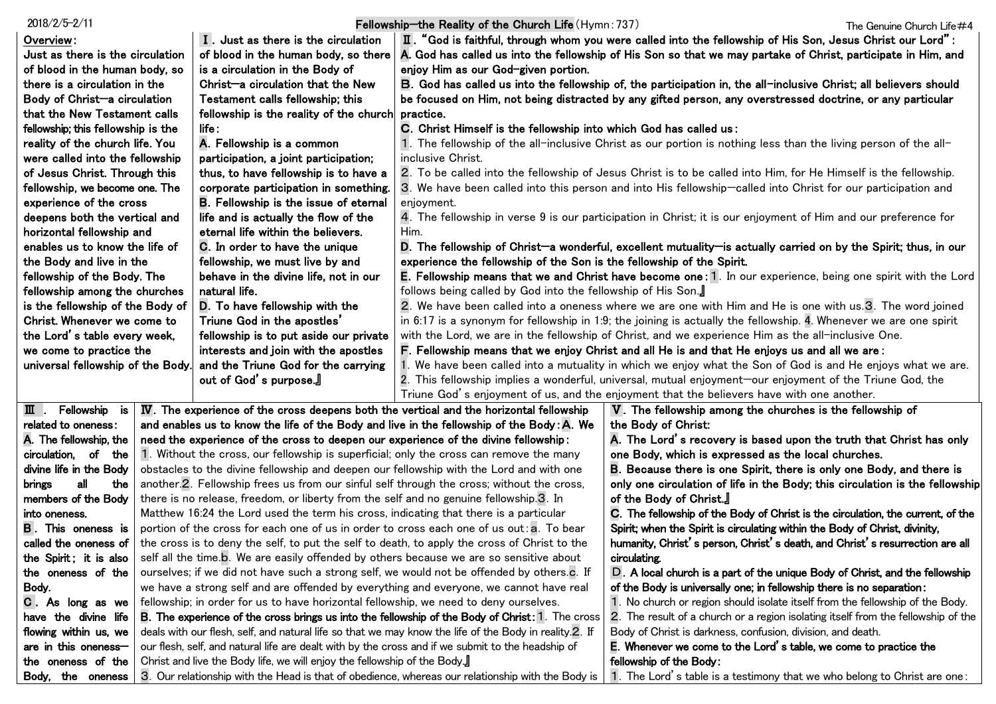| $2018/2/5 - 2/11$                                                                                                               |                                                                                                                                                                          |                                                                                                                                                                                                                                       | Fellowship-the Reality of the Church Life (Hymn: 737)                                                                                                                                                                   |                                                                                                                 | The Genuine Church Life#4 |
|---------------------------------------------------------------------------------------------------------------------------------|--------------------------------------------------------------------------------------------------------------------------------------------------------------------------|---------------------------------------------------------------------------------------------------------------------------------------------------------------------------------------------------------------------------------------|-------------------------------------------------------------------------------------------------------------------------------------------------------------------------------------------------------------------------|-----------------------------------------------------------------------------------------------------------------|---------------------------|
| Overview:                                                                                                                       | I. Just as there is the circulation                                                                                                                                      |                                                                                                                                                                                                                                       |                                                                                                                                                                                                                         | $\,$ II. "God is faithful, through whom you were called into the fellowship of His Son, Jesus Christ our Lord": |                           |
| Just as there is the circulation                                                                                                |                                                                                                                                                                          | of blood in the human body, so there                                                                                                                                                                                                  | A. God has called us into the fellowship of His Son so that we may partake of Christ, participate in Him, and                                                                                                           |                                                                                                                 |                           |
| of blood in the human body, so                                                                                                  |                                                                                                                                                                          | is a circulation in the Body of                                                                                                                                                                                                       | enjoy Him as our God-given portion.                                                                                                                                                                                     |                                                                                                                 |                           |
| there is a circulation in the                                                                                                   |                                                                                                                                                                          | Christ-a circulation that the New                                                                                                                                                                                                     | B. God has called us into the fellowship of, the participation in, the all-inclusive Christ; all believers should                                                                                                       |                                                                                                                 |                           |
| Body of Christ-a circulation                                                                                                    |                                                                                                                                                                          | Testament calls fellowship; this                                                                                                                                                                                                      | be focused on Him, not being distracted by any gifted person, any overstressed doctrine, or any particular                                                                                                              |                                                                                                                 |                           |
| that the New Testament calls                                                                                                    |                                                                                                                                                                          | fellowship is the reality of the church                                                                                                                                                                                               | practice.                                                                                                                                                                                                               |                                                                                                                 |                           |
| fellowship; this fellowship is the                                                                                              |                                                                                                                                                                          | life :                                                                                                                                                                                                                                | C. Christ Himself is the fellowship into which God has called us:                                                                                                                                                       |                                                                                                                 |                           |
| reality of the church life. You                                                                                                 |                                                                                                                                                                          | A. Fellowship is a common                                                                                                                                                                                                             | 1. The fellowship of the all-inclusive Christ as our portion is nothing less than the living person of the all-                                                                                                         |                                                                                                                 |                           |
| were called into the fellowship                                                                                                 |                                                                                                                                                                          | participation, a joint participation;                                                                                                                                                                                                 | inclusive Christ.                                                                                                                                                                                                       |                                                                                                                 |                           |
| of Jesus Christ. Through this                                                                                                   |                                                                                                                                                                          | thus, to have fellowship is to have a                                                                                                                                                                                                 | 2. To be called into the fellowship of Jesus Christ is to be called into Him, for He Himself is the fellowship.                                                                                                         |                                                                                                                 |                           |
| fellowship, we become one. The                                                                                                  |                                                                                                                                                                          | corporate participation in something.                                                                                                                                                                                                 | 3. We have been called into this person and into His fellowship-called into Christ for our participation and                                                                                                            |                                                                                                                 |                           |
| experience of the cross                                                                                                         |                                                                                                                                                                          | <b>B.</b> Fellowship is the issue of eternal                                                                                                                                                                                          | enjoyment.                                                                                                                                                                                                              |                                                                                                                 |                           |
| deepens both the vertical and                                                                                                   |                                                                                                                                                                          | life and is actually the flow of the                                                                                                                                                                                                  |                                                                                                                                                                                                                         | 4. The fellowship in verse 9 is our participation in Christ; it is our enjoyment of Him and our preference for  |                           |
| horizontal fellowship and                                                                                                       |                                                                                                                                                                          | eternal life within the believers.                                                                                                                                                                                                    | Him.                                                                                                                                                                                                                    |                                                                                                                 |                           |
| enables us to know the life of                                                                                                  |                                                                                                                                                                          | C. In order to have the unique                                                                                                                                                                                                        | D. The fellowship of Christ-a wonderful, excellent mutuality-is actually carried on by the Spirit; thus, in our                                                                                                         |                                                                                                                 |                           |
| the Body and live in the                                                                                                        |                                                                                                                                                                          | fellowship, we must live by and                                                                                                                                                                                                       | experience the fellowship of the Son is the fellowship of the Spirit.                                                                                                                                                   |                                                                                                                 |                           |
| fellowship of the Body. The                                                                                                     |                                                                                                                                                                          | behave in the divine life, not in our                                                                                                                                                                                                 | E. Fellowship means that we and Christ have become one: 1. In our experience, being one spirit with the Lord                                                                                                            |                                                                                                                 |                           |
| fellowship among the churches                                                                                                   |                                                                                                                                                                          | natural life.                                                                                                                                                                                                                         | follows being called by God into the fellowship of His Son.                                                                                                                                                             |                                                                                                                 |                           |
| is the fellowship of the Body of                                                                                                |                                                                                                                                                                          | D. To have fellowship with the                                                                                                                                                                                                        | 2. We have been called into a oneness where we are one with Him and He is one with us.3. The word joined                                                                                                                |                                                                                                                 |                           |
| Christ. Whenever we come to                                                                                                     |                                                                                                                                                                          | Triune God in the apostles'                                                                                                                                                                                                           | in 6:17 is a synonym for fellowship in 1:9; the joining is actually the fellowship. 4. Whenever we are one spirit                                                                                                       |                                                                                                                 |                           |
| the Lord's table every week,                                                                                                    |                                                                                                                                                                          | fellowship is to put aside our private                                                                                                                                                                                                | with the Lord, we are in the fellowship of Christ, and we experience Him as the all-inclusive One.                                                                                                                      |                                                                                                                 |                           |
| we come to practice the                                                                                                         |                                                                                                                                                                          | interests and join with the apostles                                                                                                                                                                                                  | F. Fellowship means that we enjoy Christ and all He is and that He enjoys us and all we are:                                                                                                                            |                                                                                                                 |                           |
| universal fellowship of the Body.                                                                                               |                                                                                                                                                                          | and the Triune God for the carrying                                                                                                                                                                                                   | 1. We have been called into a mutuality in which we enjoy what the Son of God is and He enjoys what we are.<br>2. This fellowship implies a wonderful, universal, mutual enjoyment—our enjoyment of the Triune God, the |                                                                                                                 |                           |
|                                                                                                                                 |                                                                                                                                                                          | out of God's purpose.』                                                                                                                                                                                                                |                                                                                                                                                                                                                         |                                                                                                                 |                           |
| Fellowship is                                                                                                                   |                                                                                                                                                                          | $IV$ . The experience of the cross deepens both the vertical and the horizontal fellowship                                                                                                                                            |                                                                                                                                                                                                                         | Triune God's enjoyment of us, and the enjoyment that the believers have with one another.                       |                           |
| ш.<br>related to oneness:                                                                                                       |                                                                                                                                                                          | and enables us to know the life of the Body and live in the fellowship of the Body: A. We                                                                                                                                             |                                                                                                                                                                                                                         | V. The fellowship among the churches is the fellowship of<br>the Body of Christ:                                |                           |
| A. The fellowship, the                                                                                                          |                                                                                                                                                                          |                                                                                                                                                                                                                                       |                                                                                                                                                                                                                         | A. The Lord's recovery is based upon the truth that Christ has only                                             |                           |
| circulation, of the                                                                                                             |                                                                                                                                                                          | need the experience of the cross to deepen our experience of the divine fellowship:<br>one Body, which is expressed as the local churches.<br>1. Without the cross, our fellowship is superficial; only the cross can remove the many |                                                                                                                                                                                                                         |                                                                                                                 |                           |
| divine life in the Body                                                                                                         |                                                                                                                                                                          | <b>B.</b> Because there is one Spirit, there is only one Body, and there is<br>obstacles to the divine fellowship and deepen our fellowship with the Lord and with one                                                                |                                                                                                                                                                                                                         |                                                                                                                 |                           |
| all<br>brings<br>the                                                                                                            |                                                                                                                                                                          | another.2. Fellowship frees us from our sinful self through the cross; without the cross,<br>only one circulation of life in the Body; this circulation is the fellowship                                                             |                                                                                                                                                                                                                         |                                                                                                                 |                           |
| members of the Body                                                                                                             |                                                                                                                                                                          | there is no release, freedom, or liberty from the self and no genuine fellowship.3. In                                                                                                                                                |                                                                                                                                                                                                                         | of the Body of Christ.                                                                                          |                           |
| into oneness.                                                                                                                   | Matthew 16:24 the Lord used the term his cross, indicating that there is a particular<br>C. The fellowship of the Body of Christ is the circulation, the current, of the |                                                                                                                                                                                                                                       |                                                                                                                                                                                                                         |                                                                                                                 |                           |
| <b>B.</b> This oneness is                                                                                                       | portion of the cross for each one of us in order to cross each one of us out: a. To bear                                                                                 |                                                                                                                                                                                                                                       |                                                                                                                                                                                                                         | Spirit; when the Spirit is circulating within the Body of Christ, divinity,                                     |                           |
| called the oneness of                                                                                                           | the cross is to deny the self, to put the self to death, to apply the cross of Christ to the                                                                             |                                                                                                                                                                                                                                       | humanity, Christ's person, Christ's death, and Christ's resurrection are all                                                                                                                                            |                                                                                                                 |                           |
| the Spirit; it is also                                                                                                          | self all the time.b. We are easily offended by others because we are so sensitive about                                                                                  |                                                                                                                                                                                                                                       |                                                                                                                                                                                                                         | circulating.                                                                                                    |                           |
| the oneness of the                                                                                                              | ourselves; if we did not have such a strong self, we would not be offended by others.c. If                                                                               |                                                                                                                                                                                                                                       |                                                                                                                                                                                                                         | D. A local church is a part of the unique Body of Christ, and the fellowship                                    |                           |
| Body.                                                                                                                           | we have a strong self and are offended by everything and everyone, we cannot have real                                                                                   |                                                                                                                                                                                                                                       |                                                                                                                                                                                                                         | of the Body is universally one; in fellowship there is no separation:                                           |                           |
| C. As long as we                                                                                                                | fellowship; in order for us to have horizontal fellowship, we need to deny ourselves.                                                                                    |                                                                                                                                                                                                                                       |                                                                                                                                                                                                                         | 1. No church or region should isolate itself from the fellowship of the Body.                                   |                           |
| <b>B.</b> The experience of the cross brings us into the fellowship of the Body of Christ: 1. The cross<br>have the divine life |                                                                                                                                                                          |                                                                                                                                                                                                                                       | 2. The result of a church or a region isolating itself from the fellowship of the                                                                                                                                       |                                                                                                                 |                           |
| deals with our flesh, self, and natural life so that we may know the life of the Body in reality.2. If<br>flowing within us, we |                                                                                                                                                                          | Body of Christ is darkness, confusion, division, and death.                                                                                                                                                                           |                                                                                                                                                                                                                         |                                                                                                                 |                           |
| our flesh, self, and natural life are dealt with by the cross and if we submit to the headship of<br>are in this oneness-       |                                                                                                                                                                          | E. Whenever we come to the Lord's table, we come to practice the                                                                                                                                                                      |                                                                                                                                                                                                                         |                                                                                                                 |                           |
| the oneness of the                                                                                                              |                                                                                                                                                                          | Christ and live the Body life, we will enjoy the fellowship of the Body.                                                                                                                                                              |                                                                                                                                                                                                                         | fellowship of the Body:                                                                                         |                           |
| Body, the oneness                                                                                                               |                                                                                                                                                                          |                                                                                                                                                                                                                                       | 3. Our relationship with the Head is that of obedience, whereas our relationship with the Body is                                                                                                                       | 1. The Lord's table is a testimony that we who belong to Christ are one:                                        |                           |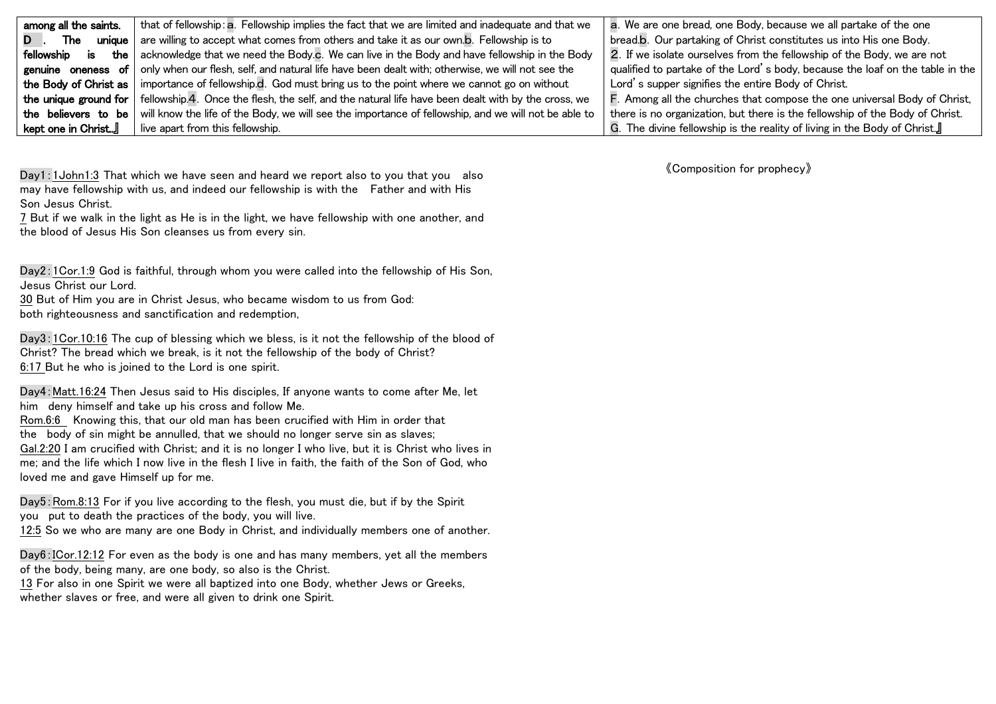| among all the saints.     | that of fellowship: a. Fellowship implies the fact that we are limited and inadequate and that we    | a. We are one bread, one Body, because we all partake of the one              |
|---------------------------|------------------------------------------------------------------------------------------------------|-------------------------------------------------------------------------------|
| <b>The</b>                | unique   are willing to accept what comes from others and take it as our own.b. Fellowship is to     | bread.b. Our partaking of Christ constitutes us into His one Body.            |
| fellowship<br><b>is</b>   | the acknowledge that we need the Body.c. We can live in the Body and have fellowship in the Body     | 2. If we isolate ourselves from the fellowship of the Body, we are not        |
| genuine oneness of        | only when our flesh, self, and natural life have been dealt with; otherwise, we will not see the `   | qualified to partake of the Lord's body, because the loaf on the table in the |
| the Body of Christ as I   | importance of fellowship.d. God must bring us to the point where we cannot go on without             | Lord's supper signifies the entire Body of Christ.                            |
| the unique ground for $ $ | fellowship.4. Once the flesh, the self, and the natural life have been dealt with by the cross, we   | F. Among all the churches that compose the one universal Body of Christ,      |
| the believers to be       | will know the life of the Body, we will see the importance of fellowship, and we will not be able to | there is no organization, but there is the fellowship of the Body of Christ.  |
| kept one in Christ』       | live apart from this fellowship.                                                                     | G. The divine fellowship is the reality of living in the Body of Christ.』     |

Day1:1John1:3 That which we have seen and heard we report also to you that you also may have fellowship with us, and indeed our fellowship is with the Father and with His Son Jesus Christ.

7 But if we walk in the light as He is in the light, we have fellowship with one another, and the blood of Jesus His Son cleanses us from every sin.

Day2:1Cor.1:9 God is faithful, through whom you were called into the fellowship of His Son, Jesus Christ our Lord.

30 But of Him you are in Christ Jesus, who became wisdom to us from God: both righteousness and sanctification and redemption,

Day3:1Cor.10:16 The cup of blessing which we bless, is it not the fellowship of the blood of Christ? The bread which we break, is it not the fellowship of the body of Christ? 6:17 But he who is joined to the Lord is one spirit.

Day4:Matt.16:24 Then Jesus said to His disciples, If anyone wants to come after Me, let him deny himself and take up his cross and follow Me.

Rom.6:6 Knowing this, that our old man has been crucified with Him in order that the body of sin might be annulled, that we should no longer serve sin as slaves; Gal.2:20 I am crucified with Christ; and it is no longer I who live, but it is Christ who lives in me; and the life which I now live in the flesh I live in faith, the faith of the Son of God, who loved me and gave Himself up for me.

Day5: Rom.8:13 For if you live according to the flesh, you must die, but if by the Spirit you put to death the practices of the body, you will live.

12:5 So we who are many are one Body in Christ, and individually members one of another.

Day6:ICor.12:12 For even as the body is one and has many members, yet all the members of the body, being many, are one body, so also is the Christ.

13 For also in one Spirit we were all baptized into one Body, whether Jews or Greeks, whether slaves or free, and were all given to drink one Spirit.

《Composition for prophecy》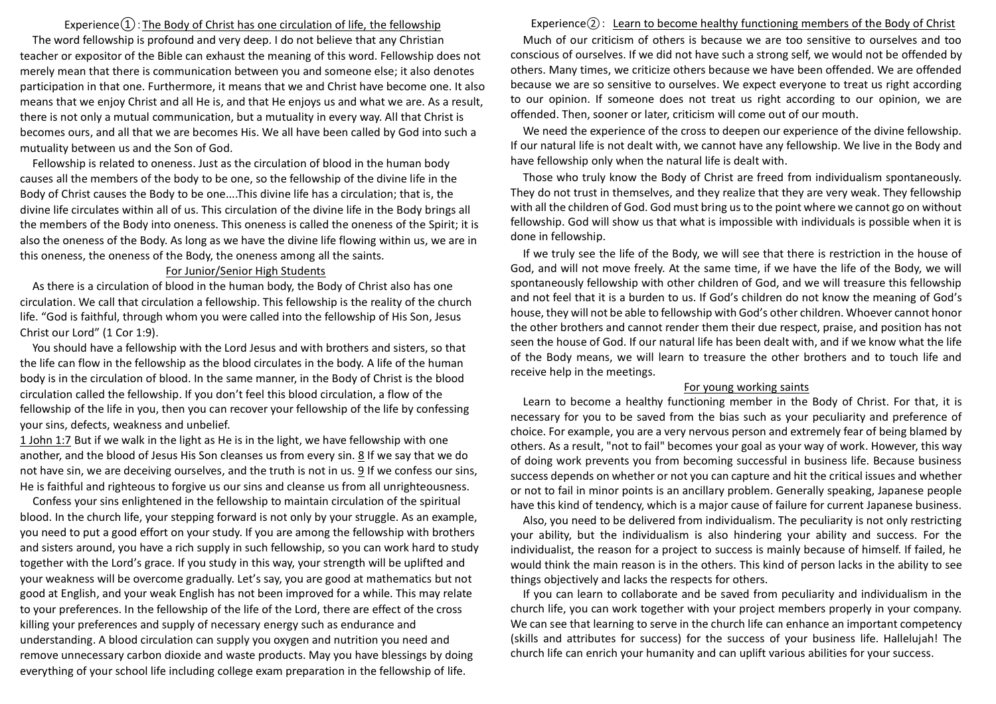# Experience $\Omega$ : The Body of Christ has one circulation of life, the fellowship

The word fellowship is profound and very deep. I do not believe that any Christian teacher or expositor of the Bible can exhaust the meaning of this word. Fellowship does not merely mean that there is communication between you and someone else; it also denotes participation in that one. Furthermore, it means that we and Christ have become one. It also means that we enjoy Christ and all He is, and that He enjoys us and what we are. As a result, there is not only a mutual communication, but a mutuality in every way. All that Christ is becomes ours, and all that we are becomes His. We all have been called by God into such a mutuality between us and the Son of God.

Fellowship is related to oneness. Just as the circulation of blood in the human body causes all the members of the body to be one, so the fellowship of the divine life in the Body of Christ causes the Body to be one....This divine life has a circulation; that is, the divine life circulates within all of us. This circulation of the divine life in the Body brings all the members of the Body into oneness. This oneness is called the oneness of the Spirit; it is also the oneness of the Body. As long as we have the divine life flowing within us, we are in this oneness, the oneness of the Body, the oneness among all the saints.

#### For Junior/Senior High Students

As there is a circulation of blood in the human body, the Body of Christ also has one circulation. We call that circulation a fellowship. This fellowship is the reality of the church life. "God is faithful, through whom you were called into the fellowship of His Son, Jesus Christ our Lord" (1 Cor 1:9).

You should have a fellowship with the Lord Jesus and with brothers and sisters, so that the life can flow in the fellowship as the blood circulates in the body. A life of the human body is in the circulation of blood. In the same manner, in the Body of Christ is the blood circulation called the fellowship. If you don't feel this blood circulation, a flow of the fellowship of the life in you, then you can recover your fellowship of the life by confessing your sins, defects, weakness and unbelief.

1 John 1:7 But if we walk in the light as He is in the light, we have fellowship with one another, and the blood of Jesus His Son cleanses us from every sin. 8 If we say that we do not have sin, we are deceiving ourselves, and the truth is not in us. 9 If we confess our sins, He is faithful and righteous to forgive us our sins and cleanse us from all unrighteousness.

 Confess your sins enlightened in the fellowship to maintain circulation of the spiritual blood. In the church life, your stepping forward is not only by your struggle. As an example, you need to put a good effort on your study. If you are among the fellowship with brothers and sisters around, you have a rich supply in such fellowship, so you can work hard to study together with the Lord's grace. If you study in this way, your strength will be uplifted and your weakness will be overcome gradually. Let's say, you are good at mathematics but not good at English, and your weak English has not been improved for a while. This may relate to your preferences. In the fellowship of the life of the Lord, there are effect of the cross killing your preferences and supply of necessary energy such as endurance and understanding. A blood circulation can supply you oxygen and nutrition you need and remove unnecessary carbon dioxide and waste products. May you have blessings by doing everything of your school life including college exam preparation in the fellowship of life.

#### Experience $(2)$ : Learn to become healthy functioning members of the Body of Christ

Much of our criticism of others is because we are too sensitive to ourselves and too conscious of ourselves. If we did not have such a strong self, we would not be offended by others. Many times, we criticize others because we have been offended. We are offended because we are so sensitive to ourselves. We expect everyone to treat us right according to our opinion. If someone does not treat us right according to our opinion, we are offended. Then, sooner or later, criticism will come out of our mouth.

We need the experience of the cross to deepen our experience of the divine fellowship. If our natural life is not dealt with, we cannot have any fellowship. We live in the Body and have fellowship only when the natural life is dealt with.

Those who truly know the Body of Christ are freed from individualism spontaneously. They do not trust in themselves, and they realize that they are very weak. They fellowship with all the children of God. God must bring us to the point where we cannot go on without fellowship. God will show us that what is impossible with individuals is possible when it is done in fellowship.

If we truly see the life of the Body, we will see that there is restriction in the house of God, and will not move freely. At the same time, if we have the life of the Body, we will spontaneously fellowship with other children of God, and we will treasure this fellowship and not feel that it is a burden to us. If God's children do not know the meaning of God's house, they will not be able to fellowship with God's other children. Whoever cannot honor the other brothers and cannot render them their due respect, praise, and position has not seen the house of God. If our natural life has been dealt with, and if we know what the life of the Body means, we will learn to treasure the other brothers and to touch life and receive help in the meetings.

#### For young working saints

Learn to become a healthy functioning member in the Body of Christ. For that, it is necessary for you to be saved from the bias such as your peculiarity and preference of choice. For example, you are a very nervous person and extremely fear of being blamed by others. As a result, "not to fail" becomes your goal as your way of work. However, this way of doing work prevents you from becoming successful in business life. Because business success depends on whether or not you can capture and hit the critical issues and whether or not to fail in minor points is an ancillary problem. Generally speaking, Japanese people have this kind of tendency, which is a major cause of failure for current Japanese business.

Also, you need to be delivered from individualism. The peculiarity is not only restricting your ability, but the individualism is also hindering your ability and success. For the individualist, the reason for a project to success is mainly because of himself. If failed, he would think the main reason is in the others. This kind of person lacks in the ability to see things objectively and lacks the respects for others.

If you can learn to collaborate and be saved from peculiarity and individualism in the church life, you can work together with your project members properly in your company. We can see that learning to serve in the church life can enhance an important competency (skills and attributes for success) for the success of your business life. Hallelujah! The church life can enrich your humanity and can uplift various abilities for your success.